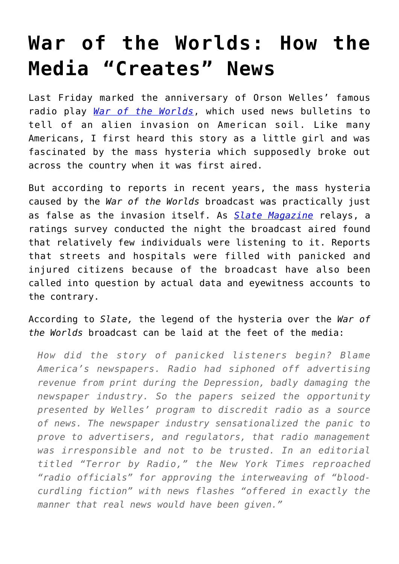## **[War of the Worlds: How the](https://intellectualtakeout.org/2015/11/war-of-the-worlds-how-the-media-creates-news/) [Media "Creates" News](https://intellectualtakeout.org/2015/11/war-of-the-worlds-how-the-media-creates-news/)**

Last Friday marked the anniversary of Orson Welles' famous radio play *[War of the Worlds](https://www.youtube.com/watch?v=OzC3Fg_rRJM)*, which used news bulletins to tell of an alien invasion on American soil. Like many Americans, I first heard this story as a little girl and was fascinated by the mass hysteria which supposedly broke out across the country when it was first aired.

But according to reports in recent years, the mass hysteria caused by the *War of the Worlds* broadcast was practically just as false as the invasion itself. As *[Slate Magazine](http://www.slate.com/articles/arts/history/2013/10/orson_welles_war_of_the_worlds_panic_myth_the_infamous_radio_broadcast_did.2.html)* relays, a ratings survey conducted the night the broadcast aired found that relatively few individuals were listening to it. Reports that streets and hospitals were filled with panicked and injured citizens because of the broadcast have also been called into question by actual data and eyewitness accounts to the contrary.

According to *Slate,* the legend of the hysteria over the *War of the Worlds* broadcast can be laid at the feet of the media:

*How did the story of panicked listeners begin? Blame America's newspapers. Radio had siphoned off advertising revenue from print during the Depression, badly damaging the newspaper industry. So the papers seized the opportunity presented by Welles' program to discredit radio as a source of news. The newspaper industry sensationalized the panic to prove to advertisers, and regulators, that radio management was irresponsible and not to be trusted. In an editorial titled "Terror by Radio," the New York Times reproached "radio officials" for approving the interweaving of "bloodcurdling fiction" with news flashes "offered in exactly the manner that real news would have been given."*